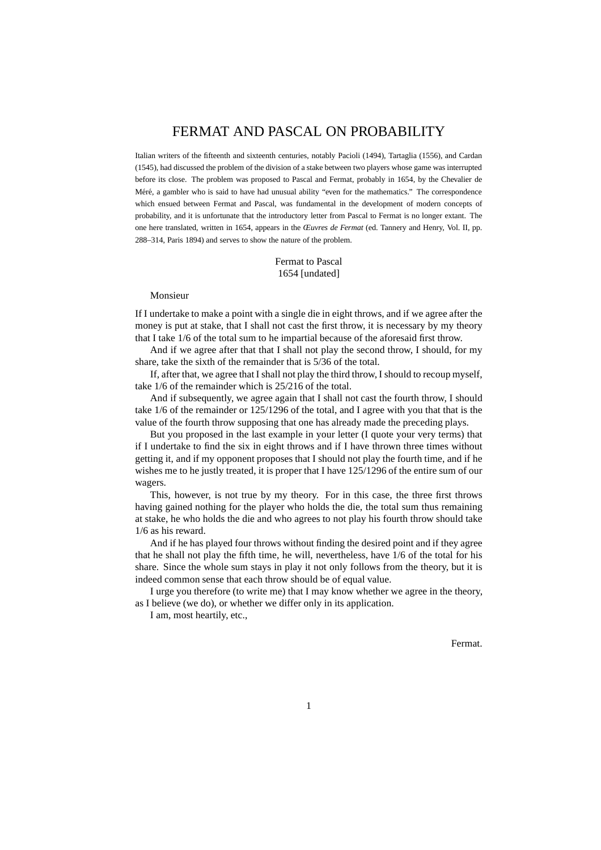# FERMAT AND PASCAL ON PROBABILITY

Italian writers of the fifteenth and sixteenth centuries, notably Pacioli (1494), Tartaglia (1556), and Cardan (1545), had discussed the problem of the division of a stake between two players whose game was interrupted before its close. The problem was proposed to Pascal and Fermat, probably in 1654, by the Chevalier de Méré, a gambler who is said to have had unusual ability "even for the mathematics." The correspondence which ensued between Fermat and Pascal, was fundamental in the development of modern concepts of probability, and it is unfortunate that the introductory letter from Pascal to Fermat is no longer extant. The one here translated, written in 1654, appears in the *Œuvres de Fermat* (ed. Tannery and Henry, Vol. II, pp. 288–314, Paris 1894) and serves to show the nature of the problem.

# Fermat to Pascal 1654 [undated]

#### Monsieur

If I undertake to make a point with a single die in eight throws, and if we agree after the money is put at stake, that I shall not cast the first throw, it is necessary by my theory that I take 1/6 of the total sum to he impartial because of the aforesaid first throw.

And if we agree after that that I shall not play the second throw, I should, for my share, take the sixth of the remainder that is 5/36 of the total.

If, after that, we agree that I shall not play the third throw, I should to recoup myself, take 1/6 of the remainder which is 25/216 of the total.

And if subsequently, we agree again that I shall not cast the fourth throw, I should take 1/6 of the remainder or 125/1296 of the total, and I agree with you that that is the value of the fourth throw supposing that one has already made the preceding plays.

But you proposed in the last example in your letter (I quote your very terms) that if I undertake to find the six in eight throws and if I have thrown three times without getting it, and if my opponent proposes that I should not play the fourth time, and if he wishes me to he justly treated, it is proper that I have 125/1296 of the entire sum of our wagers.

This, however, is not true by my theory. For in this case, the three first throws having gained nothing for the player who holds the die, the total sum thus remaining at stake, he who holds the die and who agrees to not play his fourth throw should take 1/6 as his reward.

And if he has played four throws without finding the desired point and if they agree that he shall not play the fifth time, he will, nevertheless, have 1/6 of the total for his share. Since the whole sum stays in play it not only follows from the theory, but it is indeed common sense that each throw should be of equal value.

I urge you therefore (to write me) that I may know whether we agree in the theory, as I believe (we do), or whether we differ only in its application.

I am, most heartily, etc.,

Fermat.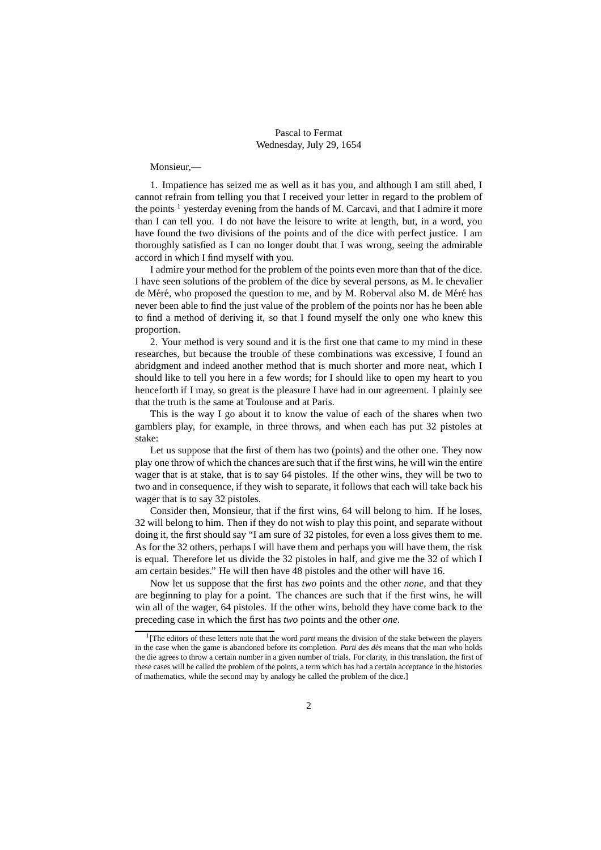# Pascal to Fermat Wednesday, July 29, 1654

## Monsieur,—

1. Impatience has seized me as well as it has you, and although I am still abed, I cannot refrain from telling you that I received your letter in regard to the problem of the points <sup>1</sup> yesterday evening from the hands of M. Carcavi, and that I admire it more than I can tell you. I do not have the leisure to write at length, but, in a word, you have found the two divisions of the points and of the dice with perfect justice. I am thoroughly satisfied as I can no longer doubt that I was wrong, seeing the admirable accord in which I find myself with you.

I admire your method for the problem of the points even more than that of the dice. I have seen solutions of the problem of the dice by several persons, as M. le chevalier de Méré, who proposed the question to me, and by M. Roberval also M. de Méré has never been able to find the just value of the problem of the points nor has he been able to find a method of deriving it, so that I found myself the only one who knew this proportion.

2. Your method is very sound and it is the first one that came to my mind in these researches, but because the trouble of these combinations was excessive, I found an abridgment and indeed another method that is much shorter and more neat, which I should like to tell you here in a few words; for I should like to open my heart to you henceforth if I may, so great is the pleasure I have had in our agreement. I plainly see that the truth is the same at Toulouse and at Paris.

This is the way I go about it to know the value of each of the shares when two gamblers play, for example, in three throws, and when each has put 32 pistoles at stake:

Let us suppose that the first of them has two (points) and the other one. They now play one throw of which the chances are such that if the first wins, he will win the entire wager that is at stake, that is to say 64 pistoles. If the other wins, they will be two to two and in consequence, if they wish to separate, it follows that each will take back his wager that is to say 32 pistoles.

Consider then, Monsieur, that if the first wins, 64 will belong to him. If he loses, 32 will belong to him. Then if they do not wish to play this point, and separate without doing it, the first should say "I am sure of 32 pistoles, for even a loss gives them to me. As for the 32 others, perhaps I will have them and perhaps you will have them, the risk is equal. Therefore let us divide the 32 pistoles in half, and give me the 32 of which I am certain besides." He will then have 48 pistoles and the other will have 16.

Now let us suppose that the first has *two* points and the other *none*, and that they are beginning to play for a point. The chances are such that if the first wins, he will win all of the wager, 64 pistoles. If the other wins, behold they have come back to the preceding case in which the first has *two* points and the other *one*.

<sup>&</sup>lt;sup>1</sup>[The editors of these letters note that the word *parti* means the division of the stake between the players in the case when the game is abandoned before its completion. *Parti des dés* means that the man who holds the die agrees to throw a certain number in a given number of trials. For clarity, in this translation, the first of these cases will he called the problem of the points, a term which has had a certain acceptance in the histories of mathematics, while the second may by analogy he called the problem of the dice.]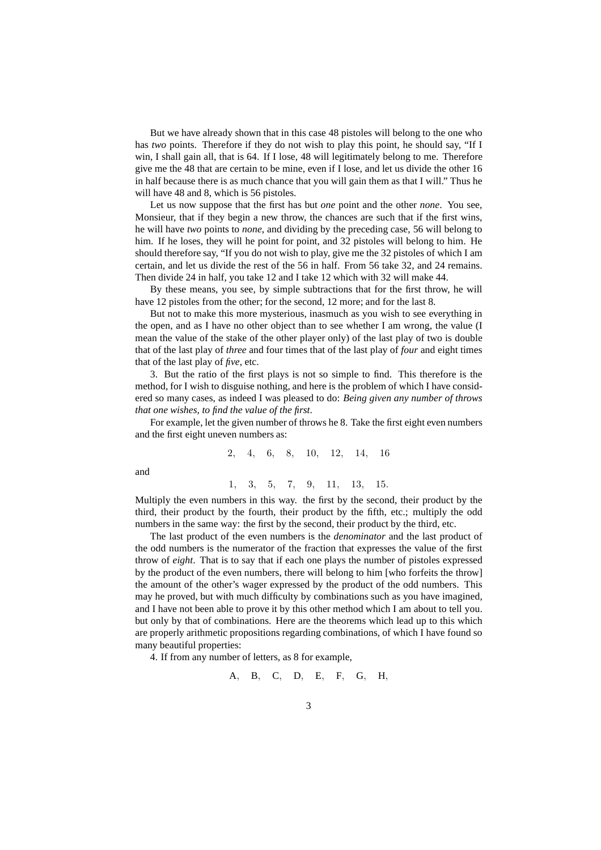But we have already shown that in this case 48 pistoles will belong to the one who has *two* points. Therefore if they do not wish to play this point, he should say, "If I win, I shall gain all, that is 64. If I lose, 48 will legitimately belong to me. Therefore give me the 48 that are certain to be mine, even if I lose, and let us divide the other 16 in half because there is as much chance that you will gain them as that I will." Thus he will have 48 and 8, which is 56 pistoles.

Let us now suppose that the first has but *one* point and the other *none*. You see, Monsieur, that if they begin a new throw, the chances are such that if the first wins, he will have *two* points to *none*, and dividing by the preceding case, 56 will belong to him. If he loses, they will he point for point, and 32 pistoles will belong to him. He should therefore say, "If you do not wish to play, give me the 32 pistoles of which I am certain, and let us divide the rest of the 56 in half. From 56 take 32, and 24 remains. Then divide 24 in half, you take 12 and I take 12 which with 32 will make 44.

By these means, you see, by simple subtractions that for the first throw, he will have 12 pistoles from the other; for the second, 12 more; and for the last 8.

But not to make this more mysterious, inasmuch as you wish to see everything in the open, and as I have no other object than to see whether I am wrong, the value (I mean the value of the stake of the other player only) of the last play of two is double that of the last play of *three* and four times that of the last play of *four* and eight times that of the last play of *five*, etc.

3. But the ratio of the first plays is not so simple to find. This therefore is the method, for I wish to disguise nothing, and here is the problem of which I have considered so many cases, as indeed I was pleased to do: *Being given any number of throws that one wishes, to find the value of the first*.

For example, let the given number of throws he 8. Take the first eight even numbers and the first eight uneven numbers as:

$$
2, \quad 4, \quad 6, \quad 8, \quad 10, \quad 12, \quad 14, \quad 16
$$

and

1, 3, 5, 7, 9, 11, 13, 15.

Multiply the even numbers in this way. the first by the second, their product by the third, their product by the fourth, their product by the fifth, etc.; multiply the odd numbers in the same way: the first by the second, their product by the third, etc.

The last product of the even numbers is the *denominator* and the last product of the odd numbers is the numerator of the fraction that expresses the value of the first throw of *eight*. That is to say that if each one plays the number of pistoles expressed by the product of the even numbers, there will belong to him [who forfeits the throw] the amount of the other's wager expressed by the product of the odd numbers. This may he proved, but with much difficulty by combinations such as you have imagined, and I have not been able to prove it by this other method which I am about to tell you. but only by that of combinations. Here are the theorems which lead up to this which are properly arithmetic propositions regarding combinations, of which I have found so many beautiful properties:

4. If from any number of letters, as 8 for example,

$$
A, \quad B, \quad C, \quad D, \quad E, \quad F, \quad G, \quad H,
$$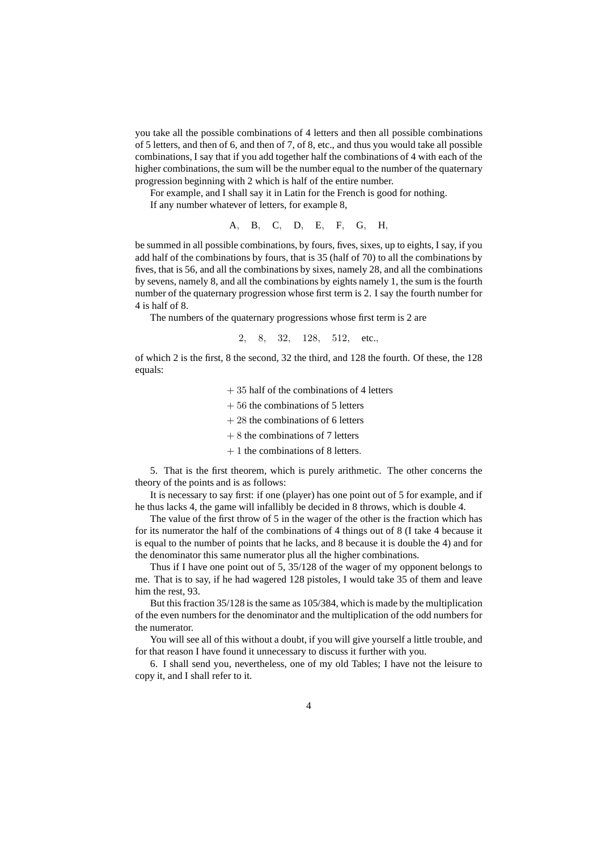you take all the possible combinations of 4 letters and then all possible combinations of 5 letters, and then of 6, and then of 7, of 8, etc., and thus you would take all possible combinations, I say that if you add together half the combinations of 4 with each of the higher combinations, the sum will be the number equal to the number of the quaternary progression beginning with 2 which is half of the entire number.

For example, and I shall say it in Latin for the French is good for nothing.

If any number whatever of letters, for example 8,

A, B, C, D, E, F, G, H,

be summed in all possible combinations, by fours, fives, sixes, up to eights, I say, if you add half of the combinations by fours, that is 35 (half of 70) to all the combinations by fives, that is 56, and all the combinations by sixes, namely 28, and all the combinations by sevens, namely 8, and all the combinations by eights namely 1, the sum is the fourth number of the quaternary progression whose first term is 2. I say the fourth number for 4 is half of 8.

The numbers of the quaternary progressions whose first term is 2 are

2, 8, 32, 128, 512, etc.,

of which 2 is the first, 8 the second, 32 the third, and 128 the fourth. Of these, the 128 equals:

+ 35 half of the combinations of 4 letters

- $+ 56$  the combinations of 5 letters
- $+ 28$  the combinations of 6 letters
- $+ 8$  the combinations of 7 letters
- $+ 1$  the combinations of 8 letters.

5. That is the first theorem, which is purely arithmetic. The other concerns the theory of the points and is as follows:

It is necessary to say first: if one (player) has one point out of 5 for example, and if he thus lacks 4, the game will infallibly be decided in 8 throws, which is double 4.

The value of the first throw of 5 in the wager of the other is the fraction which has for its numerator the half of the combinations of 4 things out of 8 (I take 4 because it is equal to the number of points that he lacks, and 8 because it is double the 4) and for the denominator this same numerator plus all the higher combinations.

Thus if I have one point out of 5, 35/128 of the wager of my opponent belongs to me. That is to say, if he had wagered 128 pistoles, I would take 35 of them and leave him the rest, 93.

But this fraction 35/128 is the same as 105/384, which is made by the multiplication of the even numbers for the denominator and the multiplication of the odd numbers for the numerator.

You will see all of this without a doubt, if you will give yourself a little trouble, and for that reason I have found it unnecessary to discuss it further with you.

6. I shall send you, nevertheless, one of my old Tables; I have not the leisure to copy it, and I shall refer to it.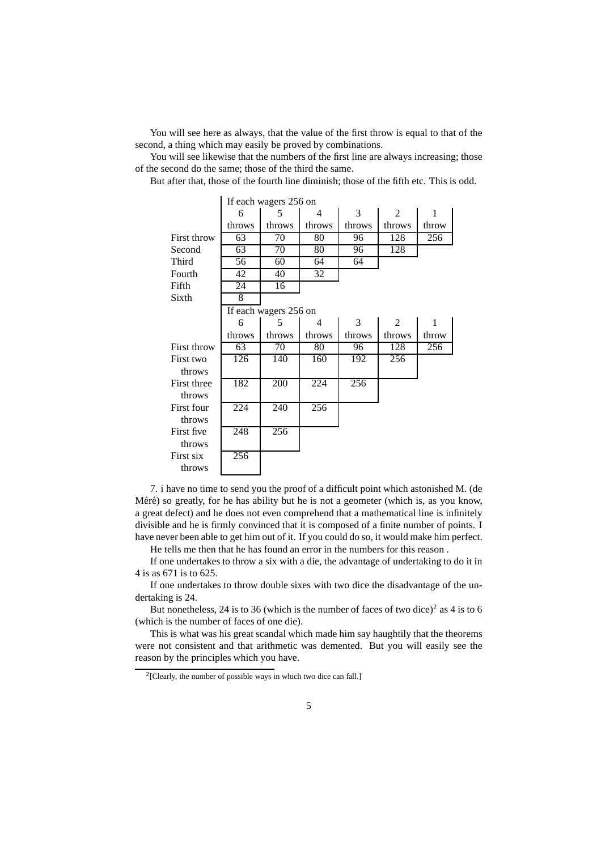You will see here as always, that the value of the first throw is equal to that of the second, a thing which may easily be proved by combinations.

You will see likewise that the numbers of the first line are always increasing; those of the second do the same; those of the third the same.

But after that, those of the fourth line diminish; those of the fifth etc. This is odd.

|             | If each wagers 256 on |                       |        |        |                |       |  |  |  |  |
|-------------|-----------------------|-----------------------|--------|--------|----------------|-------|--|--|--|--|
|             | 6                     | 5                     | 4      | 3      | $\overline{c}$ | 1     |  |  |  |  |
|             | throws                | throws                | throws | throws | throws         | throw |  |  |  |  |
| First throw | 63                    | 70                    | 80     | 96     | 128            | 256   |  |  |  |  |
| Second      | 63                    | 70                    | 80     | 96     | 128            |       |  |  |  |  |
| Third       | 56                    | 60                    | 64     | 64     |                |       |  |  |  |  |
| Fourth      | 42                    | 40                    | 32     |        |                |       |  |  |  |  |
| Fifth       | 24                    | 16                    |        |        |                |       |  |  |  |  |
| Sixth       | 8                     |                       |        |        |                |       |  |  |  |  |
|             |                       | If each wagers 256 on |        |        |                |       |  |  |  |  |
|             | 6                     | 5                     | 4      | 3      | 2              | 1     |  |  |  |  |
|             | throws                | throws                | throws | throws | throws         | throw |  |  |  |  |
| First throw | 63                    | 70                    | 80     | 96     | 128            | 256   |  |  |  |  |
| First two   | 126                   | 140                   | 160    | 192    | 256            |       |  |  |  |  |
| throws      |                       |                       |        |        |                |       |  |  |  |  |
| First three | 182                   | 200                   | 224    | 256    |                |       |  |  |  |  |
| throws      |                       |                       |        |        |                |       |  |  |  |  |
| First four  | 224                   | 240                   | 256    |        |                |       |  |  |  |  |
| throws      |                       |                       |        |        |                |       |  |  |  |  |
|             |                       |                       |        |        |                |       |  |  |  |  |
| First five  | 248                   | 256                   |        |        |                |       |  |  |  |  |
| throws      |                       |                       |        |        |                |       |  |  |  |  |
| First six   | 256                   |                       |        |        |                |       |  |  |  |  |

7. i have no time to send you the proof of a difficult point which astonished M. (de Méré) so greatly, for he has ability but he is not a geometer (which is, as you know, a great defect) and he does not even comprehend that a mathematical line is infinitely divisible and he is firmly convinced that it is composed of a finite number of points. I have never been able to get him out of it. If you could do so, it would make him perfect.

He tells me then that he has found an error in the numbers for this reason .

If one undertakes to throw a six with a die, the advantage of undertaking to do it in 4 is as 671 is to 625.

If one undertakes to throw double sixes with two dice the disadvantage of the undertaking is 24.

But nonetheless, 24 is to 36 (which is the number of faces of two dice)<sup>2</sup> as 4 is to 6 (which is the number of faces of one die).

This is what was his great scandal which made him say haughtily that the theorems were not consistent and that arithmetic was demented. But you will easily see the reason by the principles which you have.

<sup>&</sup>lt;sup>2</sup>[Clearly, the number of possible ways in which two dice can fall.]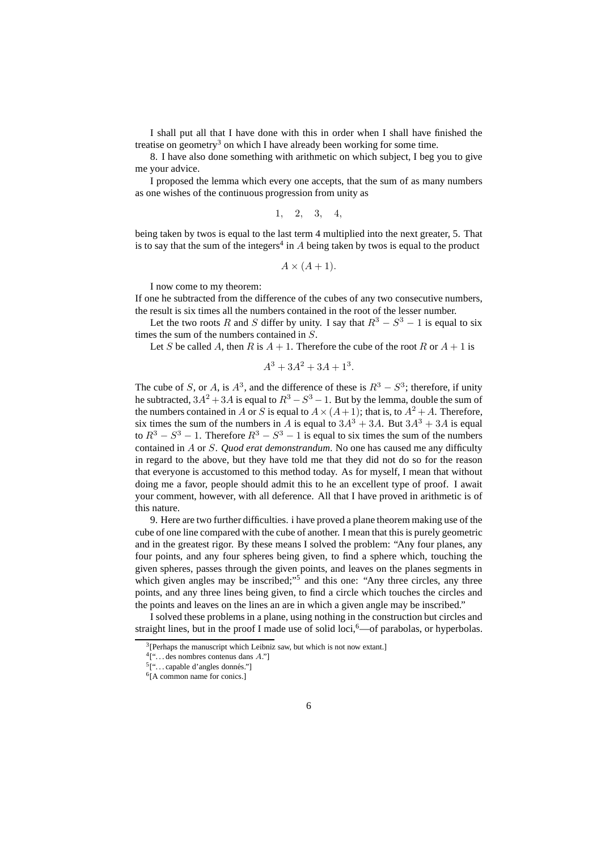I shall put all that I have done with this in order when I shall have finished the treatise on geometry<sup>3</sup> on which I have already been working for some time.

8. I have also done something with arithmetic on which subject, I beg you to give me your advice.

I proposed the lemma which every one accepts, that the sum of as many numbers as one wishes of the continuous progression from unity as

$$
1, \quad 2, \quad 3, \quad 4,
$$

being taken by twos is equal to the last term 4 multiplied into the next greater, 5. That is to say that the sum of the integers<sup>4</sup> in  $A$  being taken by twos is equal to the product

$$
A \times (A+1).
$$

I now come to my theorem:

If one he subtracted from the difference of the cubes of any two consecutive numbers, the result is six times all the numbers contained in the root of the lesser number.

Let the two roots R and S differ by unity. I say that  $R^3 - S^3 - 1$  is equal to six times the sum of the numbers contained in S.

Let S be called A, then R is  $A + 1$ . Therefore the cube of the root R or  $A + 1$  is

$$
A^3 + 3A^2 + 3A + 1^3.
$$

The cube of S, or A, is  $A^3$ , and the difference of these is  $R^3 - S^3$ ; therefore, if unity he subtracted,  $3A^2 + 3A$  is equal to  $R^3 - S^3 - 1$ . But by the lemma, double the sum of the numbers contained in A or S is equal to  $A \times (A+1)$ ; that is, to  $A^2 + A$ . Therefore, six times the sum of the numbers in A is equal to  $3A^3 + 3A$ . But  $3A^3 + 3A$  is equal to  $R^3 - S^3 - 1$ . Therefore  $R^3 - S^3 - 1$  is equal to six times the sum of the numbers contained in A or S. *Quod erat demonstrandum*. No one has caused me any difficulty in regard to the above, but they have told me that they did not do so for the reason that everyone is accustomed to this method today. As for myself, I mean that without doing me a favor, people should admit this to he an excellent type of proof. I await your comment, however, with all deference. All that I have proved in arithmetic is of this nature.

9. Here are two further difficulties. i have proved a plane theorem making use of the cube of one line compared with the cube of another. I mean that this is purely geometric and in the greatest rigor. By these means I solved the problem: "Any four planes, any four points, and any four spheres being given, to find a sphere which, touching the given spheres, passes through the given points, and leaves on the planes segments in which given angles may be inscribed;"<sup>5</sup> and this one: "Any three circles, any three points, and any three lines being given, to find a circle which touches the circles and the points and leaves on the lines an are in which a given angle may be inscribed."

I solved these problems in a plane, using nothing in the construction but circles and straight lines, but in the proof I made use of solid loci,  $\epsilon$ —of parabolas, or hyperbolas.

 $3$ [Perhaps the manuscript which Leibniz saw, but which is not now extant.]

<sup>4</sup> [". . . des nombres contenus dans A."]

 $5$ ["...capable d'angles donnés."]

<sup>6</sup> [A common name for conics.]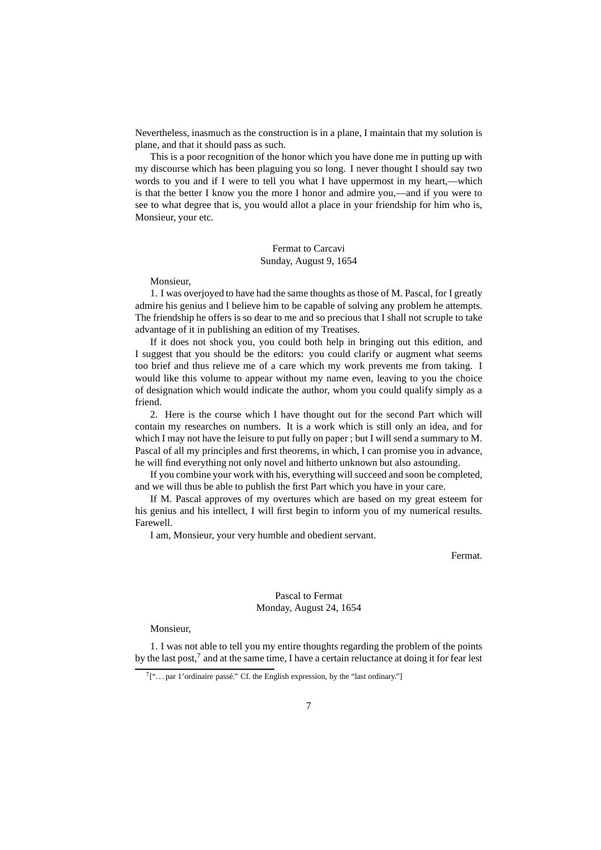Nevertheless, inasmuch as the construction is in a plane, I maintain that my solution is plane, and that it should pass as such.

This is a poor recognition of the honor which you have done me in putting up with my discourse which has been plaguing you so long. I never thought I should say two words to you and if I were to tell you what I have uppermost in my heart,—which is that the better I know you the more I honor and admire you,—and if you were to see to what degree that is, you would allot a place in your friendship for him who is, Monsieur, your etc.

## Fermat to Carcavi Sunday, August 9, 1654

Monsieur,

1. I was overjoyed to have had the same thoughts as those of M. Pascal, for I greatly admire his genius and I believe him to be capable of solving any problem he attempts. The friendship he offers is so dear to me and so precious that I shall not scruple to take advantage of it in publishing an edition of my Treatises.

If it does not shock you, you could both help in bringing out this edition, and I suggest that you should be the editors: you could clarify or augment what seems too brief and thus relieve me of a care which my work prevents me from taking. I would like this volume to appear without my name even, leaving to you the choice of designation which would indicate the author, whom you could qualify simply as a friend.

2. Here is the course which I have thought out for the second Part which will contain my researches on numbers. It is a work which is still only an idea, and for which I may not have the leisure to put fully on paper; but I will send a summary to M. Pascal of all my principles and first theorems, in which, I can promise you in advance, he will find everything not only novel and hitherto unknown but also astounding.

If you combine your work with his, everything will succeed and soon be completed, and we will thus be able to publish the first Part which you have in your care.

If M. Pascal approves of my overtures which are based on my great esteem for his genius and his intellect, I will first begin to inform you of my numerical results. Farewell.

I am, Monsieur, your very humble and obedient servant.

Fermat.

# Pascal to Fermat Monday, August 24, 1654

### Monsieur,

1. I was not able to tell you my entire thoughts regarding the problem of the points by the last post,<sup>7</sup> and at the same time, I have a certain reluctance at doing it for fear lest

 $7$ ["... par 1'ordinaire passé." Cf. the English expression, by the "last ordinary."]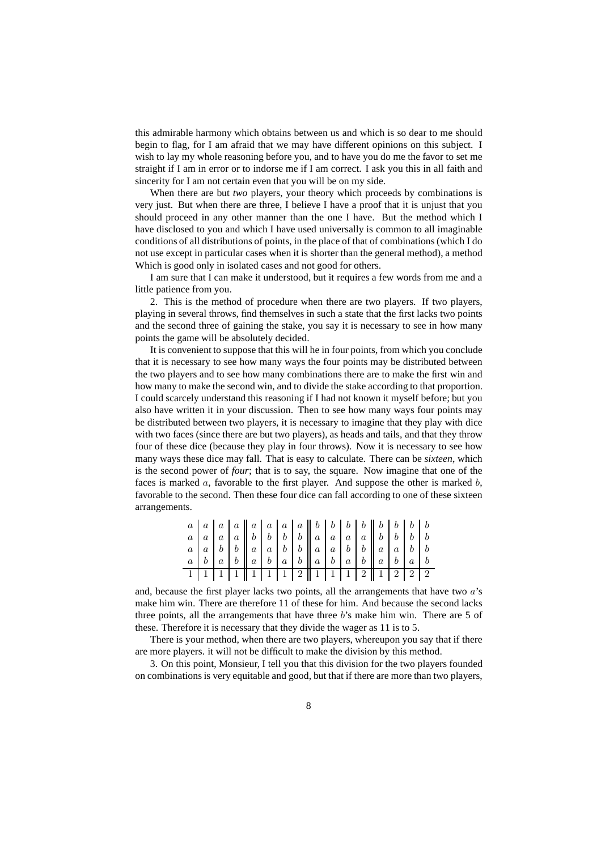this admirable harmony which obtains between us and which is so dear to me should begin to flag, for I am afraid that we may have different opinions on this subject. I wish to lay my whole reasoning before you, and to have you do me the favor to set me straight if I am in error or to indorse me if I am correct. I ask you this in all faith and sincerity for I am not certain even that you will be on my side.

When there are but *two* players, your theory which proceeds by combinations is very just. But when there are three, I believe I have a proof that it is unjust that you should proceed in any other manner than the one I have. But the method which I have disclosed to you and which I have used universally is common to all imaginable conditions of all distributions of points, in the place of that of combinations (which I do not use except in particular cases when it is shorter than the general method), a method Which is good only in isolated cases and not good for others.

I am sure that I can make it understood, but it requires a few words from me and a little patience from you.

2. This is the method of procedure when there are two players. If two players, playing in several throws, find themselves in such a state that the first lacks two points and the second three of gaining the stake, you say it is necessary to see in how many points the game will be absolutely decided.

It is convenient to suppose that this will he in four points, from which you conclude that it is necessary to see how many ways the four points may be distributed between the two players and to see how many combinations there are to make the first win and how many to make the second win, and to divide the stake according to that proportion. I could scarcely understand this reasoning if I had not known it myself before; but you also have written it in your discussion. Then to see how many ways four points may be distributed between two players, it is necessary to imagine that they play with dice with two faces (since there are but two players), as heads and tails, and that they throw four of these dice (because they play in four throws). Now it is necessary to see how many ways these dice may fall. That is easy to calculate. There can be *sixteen*, which is the second power of *four*; that is to say, the square. Now imagine that one of the faces is marked  $a$ , favorable to the first player. And suppose the other is marked  $b$ , favorable to the second. Then these four dice can fall according to one of these sixteen arrangements.

|  |  | 11111111111211111211121222 |  |  |  |  |  |  |
|--|--|----------------------------|--|--|--|--|--|--|

and, because the first player lacks two points, all the arrangements that have two  $a$ 's make him win. There are therefore 11 of these for him. And because the second lacks three points, all the arrangements that have three b's make him win. There are 5 of these. Therefore it is necessary that they divide the wager as 11 is to 5.

There is your method, when there are two players, whereupon you say that if there are more players. it will not be difficult to make the division by this method.

3. On this point, Monsieur, I tell you that this division for the two players founded on combinations is very equitable and good, but that if there are more than two players,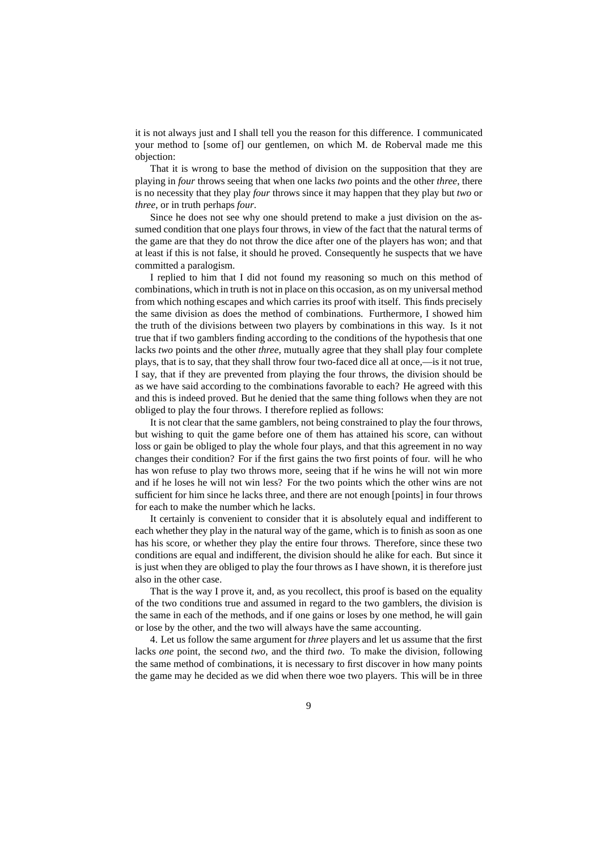it is not always just and I shall tell you the reason for this difference. I communicated your method to [some of] our gentlemen, on which M. de Roberval made me this objection:

That it is wrong to base the method of division on the supposition that they are playing in *four* throws seeing that when one lacks *two* points and the other *three*, there is no necessity that they play *four* throws since it may happen that they play but *two* or *three*, or in truth perhaps *four*.

Since he does not see why one should pretend to make a just division on the assumed condition that one plays four throws, in view of the fact that the natural terms of the game are that they do not throw the dice after one of the players has won; and that at least if this is not false, it should he proved. Consequently he suspects that we have committed a paralogism.

I replied to him that I did not found my reasoning so much on this method of combinations, which in truth is not in place on this occasion, as on my universal method from which nothing escapes and which carries its proof with itself. This finds precisely the same division as does the method of combinations. Furthermore, I showed him the truth of the divisions between two players by combinations in this way. Is it not true that if two gamblers finding according to the conditions of the hypothesis that one lacks *two* points and the other *three*, mutually agree that they shall play four complete plays, that is to say, that they shall throw four two-faced dice all at once,—is it not true, I say, that if they are prevented from playing the four throws, the division should be as we have said according to the combinations favorable to each? He agreed with this and this is indeed proved. But he denied that the same thing follows when they are not obliged to play the four throws. I therefore replied as follows:

It is not clear that the same gamblers, not being constrained to play the four throws, but wishing to quit the game before one of them has attained his score, can without loss or gain be obliged to play the whole four plays, and that this agreement in no way changes their condition? For if the first gains the two first points of four. will he who has won refuse to play two throws more, seeing that if he wins he will not win more and if he loses he will not win less? For the two points which the other wins are not sufficient for him since he lacks three, and there are not enough [points] in four throws for each to make the number which he lacks.

It certainly is convenient to consider that it is absolutely equal and indifferent to each whether they play in the natural way of the game, which is to finish as soon as one has his score, or whether they play the entire four throws. Therefore, since these two conditions are equal and indifferent, the division should he alike for each. But since it is just when they are obliged to play the four throws as I have shown, it is therefore just also in the other case.

That is the way I prove it, and, as you recollect, this proof is based on the equality of the two conditions true and assumed in regard to the two gamblers, the division is the same in each of the methods, and if one gains or loses by one method, he will gain or lose by the other, and the two will always have the same accounting.

4. Let us follow the same argument for *three* players and let us assume that the first lacks *one* point, the second *two*, and the third *two*. To make the division, following the same method of combinations, it is necessary to first discover in how many points the game may he decided as we did when there woe two players. This will be in three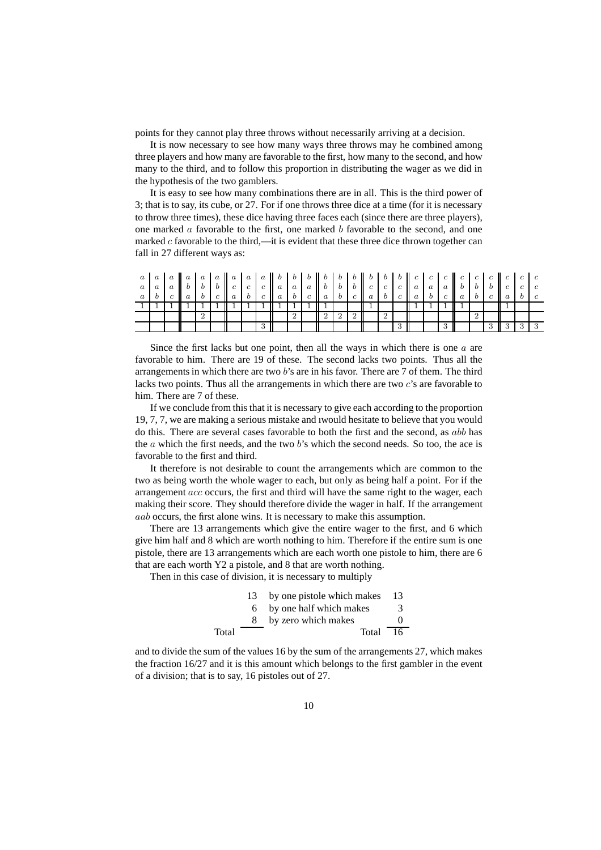points for they cannot play three throws without necessarily arriving at a decision.

It is now necessary to see how many ways three throws may he combined among three players and how many are favorable to the first, how many to the second, and how many to the third, and to follow this proportion in distributing the wager as we did in the hypothesis of the two gamblers.

It is easy to see how many combinations there are in all. This is the third power of 3; that is to say, its cube, or 27. For if one throws three dice at a time (for it is necessary to throw three times), these dice having three faces each (since there are three players), one marked a favorable to the first, one marked  $b$  favorable to the second, and one marked c favorable to the third,—it is evident that these three dice thrown together can fall in 27 different ways as:

| $\boldsymbol{a}$ | $\boldsymbol{a}$ | $\boldsymbol{a}$ | $\overline{a}$ | $\alpha$ | $\boldsymbol{a}$ | $\alpha$ | $\cdot$ a    | $\boldsymbol{a}$ |               |   |                   | $\cdot$ $\theta$ |              | $\bm{D}$      | $\bm{b}$       | $\boldsymbol{\omega}$ | $\parallel$ c    | $\mathfrak{c}$   | $\mathbf{c}$ | $\mathfrak{c}$ | $\Box$ $\Box$ | $\mathfrak{c}$ | c |
|------------------|------------------|------------------|----------------|----------|------------------|----------|--------------|------------------|---------------|---|-------------------|------------------|--------------|---------------|----------------|-----------------------|------------------|------------------|--------------|----------------|---------------|----------------|---|
| $\boldsymbol{a}$ | $\boldsymbol{a}$ |                  |                |          |                  |          | $\mathbf{c}$ | $\mathfrak{c}$   | $\parallel a$ | a | $\boldsymbol{a}$  | $\bm{O}$         | $\bm{O}$     | $\Box$ $\Box$ | $\ c\ $        | $\mathfrak{c}$        | $\parallel a$    | $\boldsymbol{a}$ |              |                |               | c              |   |
| $\boldsymbol{a}$ |                  |                  |                |          |                  |          |              | c                | a             |   | $b \mid c \mid a$ | $\cdot$ b l      | $\cdots$ $c$ | a             | $\overline{O}$ | $\mathbf{c}$          | $\boldsymbol{a}$ |                  |              |                |               |                |   |
|                  |                  |                  |                |          |                  |          |              |                  |               |   |                   |                  |              |               |                |                       |                  |                  |              |                |               |                |   |
|                  |                  |                  |                |          |                  |          |              |                  |               |   |                   |                  |              |               |                |                       |                  |                  |              |                |               |                |   |
|                  |                  |                  |                |          |                  |          |              |                  |               |   |                   |                  |              |               |                | ച<br>. .              |                  |                  |              |                |               |                |   |

Since the first lacks but one point, then all the ways in which there is one  $a$  are favorable to him. There are 19 of these. The second lacks two points. Thus all the arrangements in which there are two  $b$ 's are in his favor. There are 7 of them. The third lacks two points. Thus all the arrangements in which there are two c's are favorable to him. There are 7 of these.

If we conclude from this that it is necessary to give each according to the proportion 19, 7, 7, we are making a serious mistake and ıwould hesitate to believe that you would do this. There are several cases favorable to both the first and the second, as abb has the  $a$  which the first needs, and the two  $b$ 's which the second needs. So too, the ace is favorable to the first and third.

It therefore is not desirable to count the arrangements which are common to the two as being worth the whole wager to each, but only as being half a point. For if the arrangement acc occurs, the first and third will have the same right to the wager, each making their score. They should therefore divide the wager in half. If the arrangement aab occurs, the first alone wins. It is necessary to make this assumption.

There are 13 arrangements which give the entire wager to the first, and 6 which give him half and 8 which are worth nothing to him. Therefore if the entire sum is one pistole, there are 13 arrangements which are each worth one pistole to him, there are 6 that are each worth Y2 a pistole, and 8 that are worth nothing.

Then in this case of division, it is necessary to multiply

|       | 13. | by one pistole which makes | 13                |
|-------|-----|----------------------------|-------------------|
|       | 6.  | by one half which makes    | 3                 |
|       |     | by zero which makes        | $\mathbf{\Omega}$ |
| Total |     | Total                      | 16                |

and to divide the sum of the values 16 by the sum of the arrangements 27, which makes the fraction 16/27 and it is this amount which belongs to the first gambler in the event of a division; that is to say, 16 pistoles out of 27.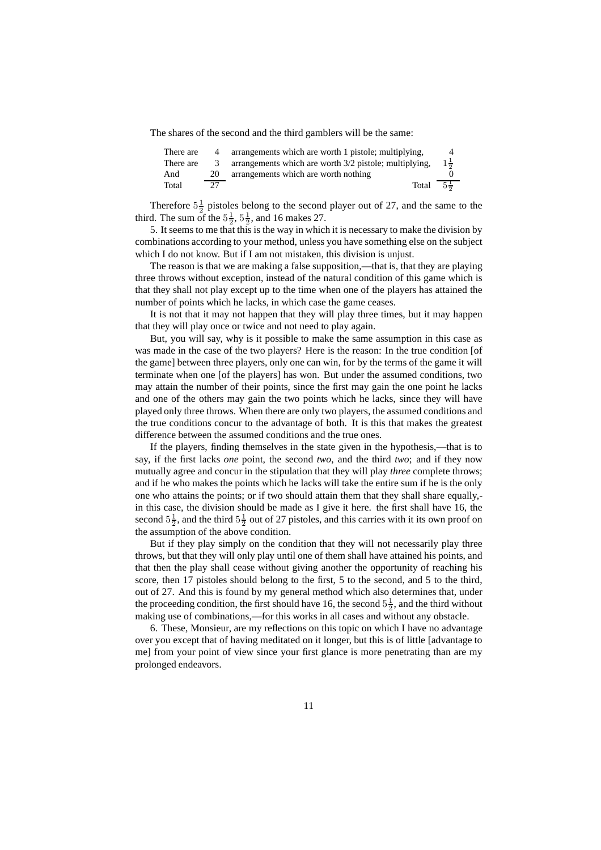The shares of the second and the third gamblers will be the same:

| There are | 4  | arrangements which are worth 1 pistole; multiplying,   | 4              |
|-----------|----|--------------------------------------------------------|----------------|
| There are | 3  | arrangements which are worth 3/2 pistole; multiplying, | $1\frac{1}{2}$ |
| And       | 20 | arrangements which are worth nothing                   |                |
| Total     | 27 | Total                                                  | $5\frac{1}{2}$ |

Therefore  $5\frac{1}{2}$  pistoles belong to the second player out of 27, and the same to the third. The sum of the  $5\frac{1}{2}$ ,  $5\frac{1}{2}$ , and 16 makes 27.

5. It seems to me that this is the way in which it is necessary to make the division by combinations according to your method, unless you have something else on the subject which I do not know. But if I am not mistaken, this division is unjust.

The reason is that we are making a false supposition,—that is, that they are playing three throws without exception, instead of the natural condition of this game which is that they shall not play except up to the time when one of the players has attained the number of points which he lacks, in which case the game ceases.

It is not that it may not happen that they will play three times, but it may happen that they will play once or twice and not need to play again.

But, you will say, why is it possible to make the same assumption in this case as was made in the case of the two players? Here is the reason: In the true condition [of the game] between three players, only one can win, for by the terms of the game it will terminate when one [of the players] has won. But under the assumed conditions, two may attain the number of their points, since the first may gain the one point he lacks and one of the others may gain the two points which he lacks, since they will have played only three throws. When there are only two players, the assumed conditions and the true conditions concur to the advantage of both. It is this that makes the greatest difference between the assumed conditions and the true ones.

If the players, finding themselves in the state given in the hypothesis,—that is to say, if the first lacks *one* point, the second *two*, and the third *two*; and if they now mutually agree and concur in the stipulation that they will play *three* complete throws; and if he who makes the points which he lacks will take the entire sum if he is the only one who attains the points; or if two should attain them that they shall share equally, in this case, the division should be made as I give it here. the first shall have 16, the second  $5\frac{1}{2}$ , and the third  $5\frac{1}{2}$  out of 27 pistoles, and this carries with it its own proof on the assumption of the above condition.

But if they play simply on the condition that they will not necessarily play three throws, but that they will only play until one of them shall have attained his points, and that then the play shall cease without giving another the opportunity of reaching his score, then 17 pistoles should belong to the first, 5 to the second, and 5 to the third, out of 27. And this is found by my general method which also determines that, under the proceeding condition, the first should have 16, the second  $5\frac{1}{2}$ , and the third without making use of combinations,—for this works in all cases and without any obstacle.

6. These, Monsieur, are my reflections on this topic on which I have no advantage over you except that of having meditated on it longer, but this is of little [advantage to me] from your point of view since your first glance is more penetrating than are my prolonged endeavors.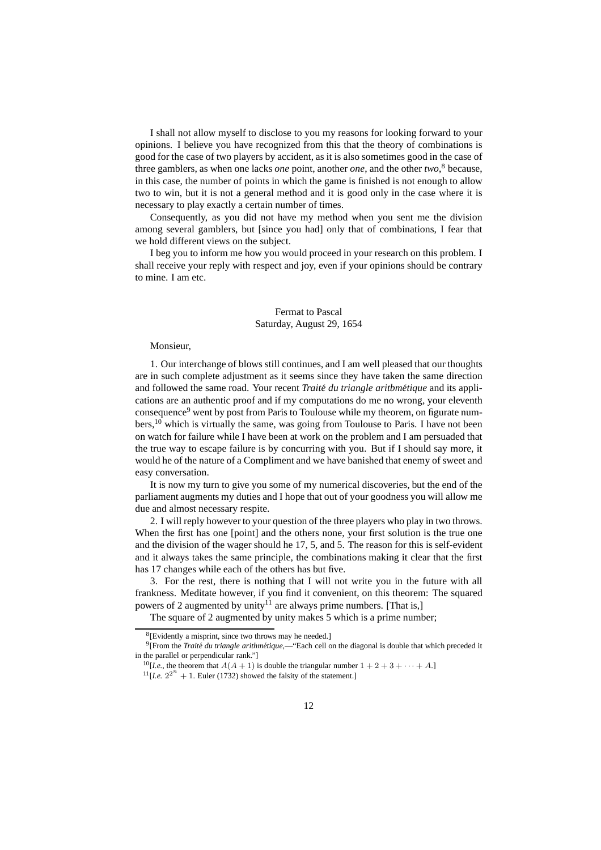I shall not allow myself to disclose to you my reasons for looking forward to your opinions. I believe you have recognized from this that the theory of combinations is good for the case of two players by accident, as it is also sometimes good in the case of three gamblers, as when one lacks *one* point, another *one*, and the other *two*, <sup>8</sup> because, in this case, the number of points in which the game is finished is not enough to allow two to win, but it is not a general method and it is good only in the case where it is necessary to play exactly a certain number of times.

Consequently, as you did not have my method when you sent me the division among several gamblers, but [since you had] only that of combinations, I fear that we hold different views on the subject.

I beg you to inform me how you would proceed in your research on this problem. I shall receive your reply with respect and joy, even if your opinions should be contrary to mine. I am etc.

## Fermat to Pascal Saturday, August 29, 1654

#### Monsieur,

1. Our interchange of blows still continues, and I am well pleased that our thoughts are in such complete adjustment as it seems since they have taken the same direction and followed the same road. Your recent *Traité du triangle arithmétique* and its applications are an authentic proof and if my computations do me no wrong, your eleventh consequence<sup>9</sup> went by post from Paris to Toulouse while my theorem, on figurate numbers,<sup>10</sup> which is virtually the same, was going from Toulouse to Paris. I have not been on watch for failure while I have been at work on the problem and I am persuaded that the true way to escape failure is by concurring with you. But if I should say more, it would he of the nature of a Compliment and we have banished that enemy of sweet and easy conversation.

It is now my turn to give you some of my numerical discoveries, but the end of the parliament augments my duties and I hope that out of your goodness you will allow me due and almost necessary respite.

2. I will reply however to your question of the three players who play in two throws. When the first has one [point] and the others none, your first solution is the true one and the division of the wager should he 17, 5, and 5. The reason for this is self-evident and it always takes the same principle, the combinations making it clear that the first has 17 changes while each of the others has but five.

3. For the rest, there is nothing that I will not write you in the future with all frankness. Meditate however, if you find it convenient, on this theorem: The squared powers of 2 augmented by unity<sup>11</sup> are always prime numbers. [That is,]

The square of 2 augmented by unity makes 5 which is a prime number;

<sup>8</sup> [Evidently a misprint, since two throws may he needed.]

<sup>&</sup>lt;sup>9</sup>[From the *Traité du triangle arithmétique*,—"Each cell on the diagonal is double that which preceded it in the parallel or perpendicular rank."]

<sup>&</sup>lt;sup>10</sup>[*I.e.*, the theorem that  $A(A + 1)$  is double the triangular number  $1 + 2 + 3 + \cdots + A$ .]

 $11$ [*I.e.*  $2^{2^n} + 1$ . Euler (1732) showed the falsity of the statement.]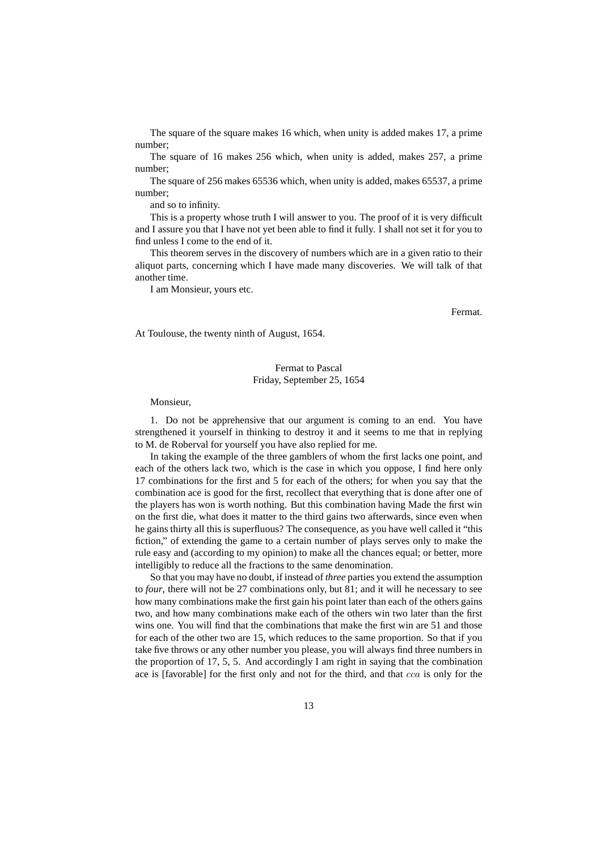The square of the square makes 16 which, when unity is added makes 17, a prime number;

The square of 16 makes 256 which, when unity is added, makes 257, a prime number;

The square of 256 makes 65536 which, when unity is added, makes 65537, a prime number;

and so to infinity.

This is a property whose truth I will answer to you. The proof of it is very difficult and I assure you that I have not yet been able to find it fully. I shall not set it for you to find unless I come to the end of it.

This theorem serves in the discovery of numbers which are in a given ratio to their aliquot parts, concerning which I have made many discoveries. We will talk of that another time.

I am Monsieur, yours etc.

Fermat.

At Toulouse, the twenty ninth of August, 1654.

# Fermat to Pascal Friday, September 25, 1654

Monsieur,

1. Do not be apprehensive that our argument is coming to an end. You have strengthened it yourself in thinking to destroy it and it seems to me that in replying to M. de Roberval for yourself you have also replied for me.

In taking the example of the three gamblers of whom the first lacks one point, and each of the others lack two, which is the case in which you oppose, I find here only 17 combinations for the first and 5 for each of the others; for when you say that the combination ace is good for the first, recollect that everything that is done after one of the players has won is worth nothing. But this combination having Made the first win on the first die, what does it matter to the third gains two afterwards, since even when he gains thirty all this is superfluous? The consequence, as you have well called it "this fiction," of extending the game to a certain number of plays serves only to make the rule easy and (according to my opinion) to make all the chances equal; or better, more intelligibly to reduce all the fractions to the same denomination.

So that you may have no doubt, if instead of *three* parties you extend the assumption to *four*, there will not be 27 combinations only, but 81; and it will he necessary to see how many combinations make the first gain his point later than each of the others gains two, and how many combinations make each of the others win two later than the first wins one. You will find that the combinations that make the first win are 51 and those for each of the other two are 15, which reduces to the same proportion. So that if you take five throws or any other number you please, you will always find three numbers in the proportion of 17, 5, 5. And accordingly I am right in saying that the combination ace is [favorable] for the first only and not for the third, and that cca is only for the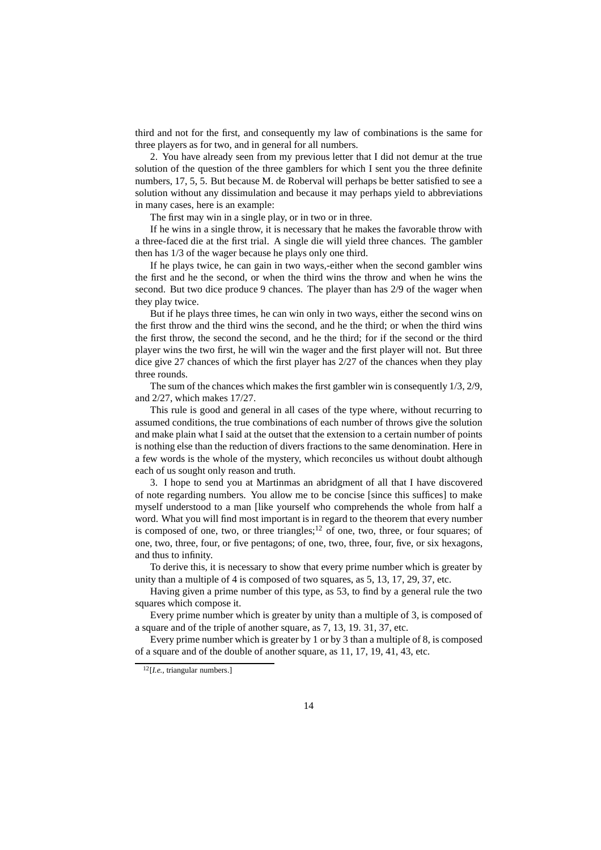third and not for the first, and consequently my law of combinations is the same for three players as for two, and in general for all numbers.

2. You have already seen from my previous letter that I did not demur at the true solution of the question of the three gamblers for which I sent you the three definite numbers, 17, 5, 5. But because M. de Roberval will perhaps be better satisfied to see a solution without any dissimulation and because it may perhaps yield to abbreviations in many cases, here is an example:

The first may win in a single play, or in two or in three.

If he wins in a single throw, it is necessary that he makes the favorable throw with a three-faced die at the first trial. A single die will yield three chances. The gambler then has 1/3 of the wager because he plays only one third.

If he plays twice, he can gain in two ways,-either when the second gambler wins the first and he the second, or when the third wins the throw and when he wins the second. But two dice produce 9 chances. The player than has 2/9 of the wager when they play twice.

But if he plays three times, he can win only in two ways, either the second wins on the first throw and the third wins the second, and he the third; or when the third wins the first throw, the second the second, and he the third; for if the second or the third player wins the two first, he will win the wager and the first player will not. But three dice give 27 chances of which the first player has 2/27 of the chances when they play three rounds.

The sum of the chances which makes the first gambler win is consequently 1/3, 2/9, and 2/27, which makes 17/27.

This rule is good and general in all cases of the type where, without recurring to assumed conditions, the true combinations of each number of throws give the solution and make plain what I said at the outset that the extension to a certain number of points is nothing else than the reduction of divers fractions to the same denomination. Here in a few words is the whole of the mystery, which reconciles us without doubt although each of us sought only reason and truth.

3. I hope to send you at Martinmas an abridgment of all that I have discovered of note regarding numbers. You allow me to be concise [since this suffices] to make myself understood to a man [like yourself who comprehends the whole from half a word. What you will find most important is in regard to the theorem that every number is composed of one, two, or three triangles; $12$  of one, two, three, or four squares; of one, two, three, four, or five pentagons; of one, two, three, four, five, or six hexagons, and thus to infinity.

To derive this, it is necessary to show that every prime number which is greater by unity than a multiple of 4 is composed of two squares, as 5, 13, 17, 29, 37, etc.

Having given a prime number of this type, as 53, to find by a general rule the two squares which compose it.

Every prime number which is greater by unity than a multiple of 3, is composed of a square and of the triple of another square, as 7, 13, 19. 31, 37, etc.

Every prime number which is greater by 1 or by 3 than a multiple of 8, is composed of a square and of the double of another square, as 11, 17, 19, 41, 43, etc.

<sup>&</sup>lt;sup>12</sup>[*I.e.*, triangular numbers.]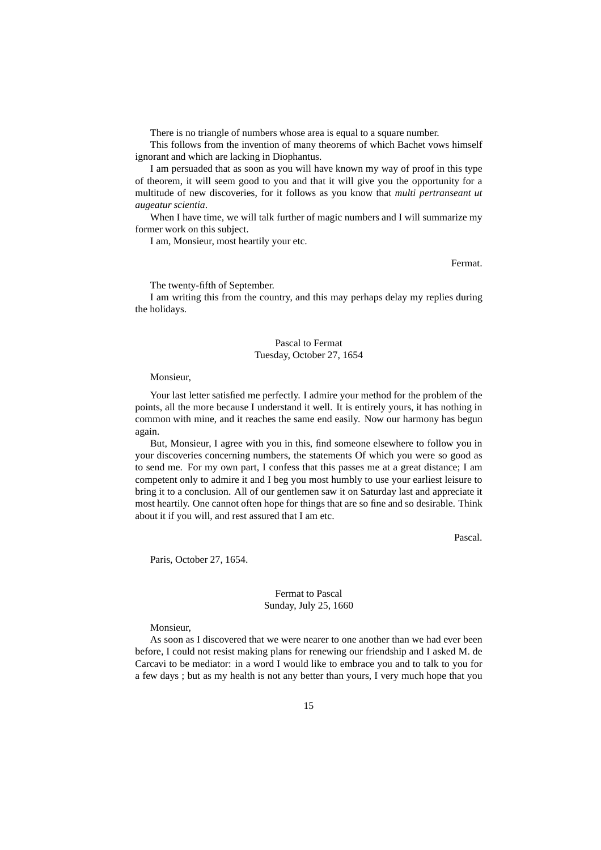There is no triangle of numbers whose area is equal to a square number.

This follows from the invention of many theorems of which Bachet vows himself ignorant and which are lacking in Diophantus.

I am persuaded that as soon as you will have known my way of proof in this type of theorem, it will seem good to you and that it will give you the opportunity for a multitude of new discoveries, for it follows as you know that *multi pertranseant ut augeatur scientia*.

When I have time, we will talk further of magic numbers and I will summarize my former work on this subject.

I am, Monsieur, most heartily your etc.

Fermat.

The twenty-fifth of September.

I am writing this from the country, and this may perhaps delay my replies during the holidays.

## Pascal to Fermat Tuesday, October 27, 1654

#### Monsieur,

Your last letter satisfied me perfectly. I admire your method for the problem of the points, all the more because I understand it well. It is entirely yours, it has nothing in common with mine, and it reaches the same end easily. Now our harmony has begun again.

But, Monsieur, I agree with you in this, find someone elsewhere to follow you in your discoveries concerning numbers, the statements Of which you were so good as to send me. For my own part, I confess that this passes me at a great distance; I am competent only to admire it and I beg you most humbly to use your earliest leisure to bring it to a conclusion. All of our gentlemen saw it on Saturday last and appreciate it most heartily. One cannot often hope for things that are so fine and so desirable. Think about it if you will, and rest assured that I am etc.

Pascal.

Paris, October 27, 1654.

# Fermat to Pascal Sunday, July 25, 1660

#### Monsieur,

As soon as I discovered that we were nearer to one another than we had ever been before, I could not resist making plans for renewing our friendship and I asked M. de Carcavi to be mediator: in a word I would like to embrace you and to talk to you for a few days ; but as my health is not any better than yours, I very much hope that you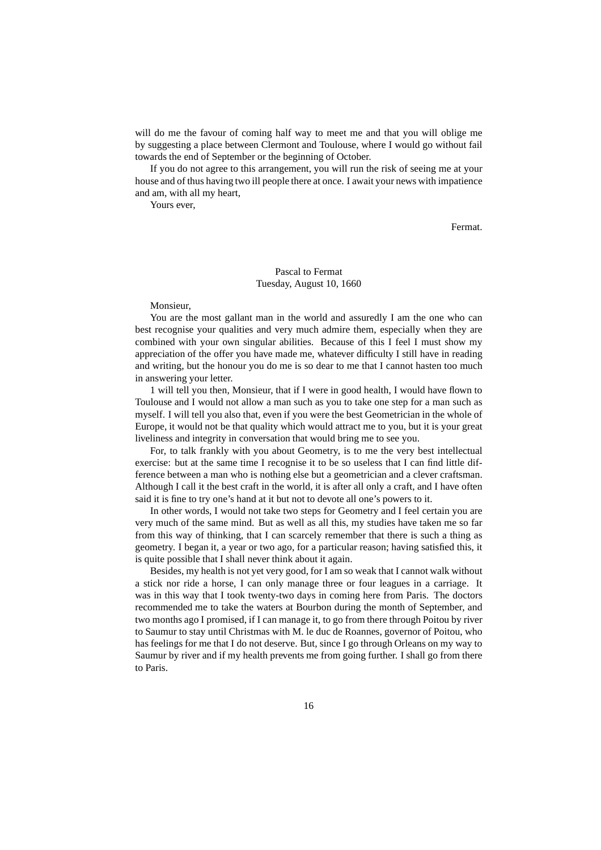will do me the favour of coming half way to meet me and that you will oblige me by suggesting a place between Clermont and Toulouse, where I would go without fail towards the end of September or the beginning of October.

If you do not agree to this arrangement, you will run the risk of seeing me at your house and of thus having two ill people there at once. I await your news with impatience and am, with all my heart,

Yours ever,

Fermat.

# Pascal to Fermat Tuesday, August 10, 1660

Monsieur,

You are the most gallant man in the world and assuredly I am the one who can best recognise your qualities and very much admire them, especially when they are combined with your own singular abilities. Because of this I feel I must show my appreciation of the offer you have made me, whatever difficulty I still have in reading and writing, but the honour you do me is so dear to me that I cannot hasten too much in answering your letter.

1 will tell you then, Monsieur, that if I were in good health, I would have flown to Toulouse and I would not allow a man such as you to take one step for a man such as myself. I will tell you also that, even if you were the best Geometrician in the whole of Europe, it would not be that quality which would attract me to you, but it is your great liveliness and integrity in conversation that would bring me to see you.

For, to talk frankly with you about Geometry, is to me the very best intellectual exercise: but at the same time I recognise it to be so useless that I can find little difference between a man who is nothing else but a geometrician and a clever craftsman. Although I call it the best craft in the world, it is after all only a craft, and I have often said it is fine to try one's hand at it but not to devote all one's powers to it.

In other words, I would not take two steps for Geometry and I feel certain you are very much of the same mind. But as well as all this, my studies have taken me so far from this way of thinking, that I can scarcely remember that there is such a thing as geometry. I began it, a year or two ago, for a particular reason; having satisfied this, it is quite possible that I shall never think about it again.

Besides, my health is not yet very good, for I am so weak that I cannot walk without a stick nor ride a horse, I can only manage three or four leagues in a carriage. It was in this way that I took twenty-two days in coming here from Paris. The doctors recommended me to take the waters at Bourbon during the month of September, and two months ago I promised, if I can manage it, to go from there through Poitou by river to Saumur to stay until Christmas with M. le duc de Roannes, governor of Poitou, who has feelings for me that I do not deserve. But, since I go through Orleans on my way to Saumur by river and if my health prevents me from going further. I shall go from there to Paris.